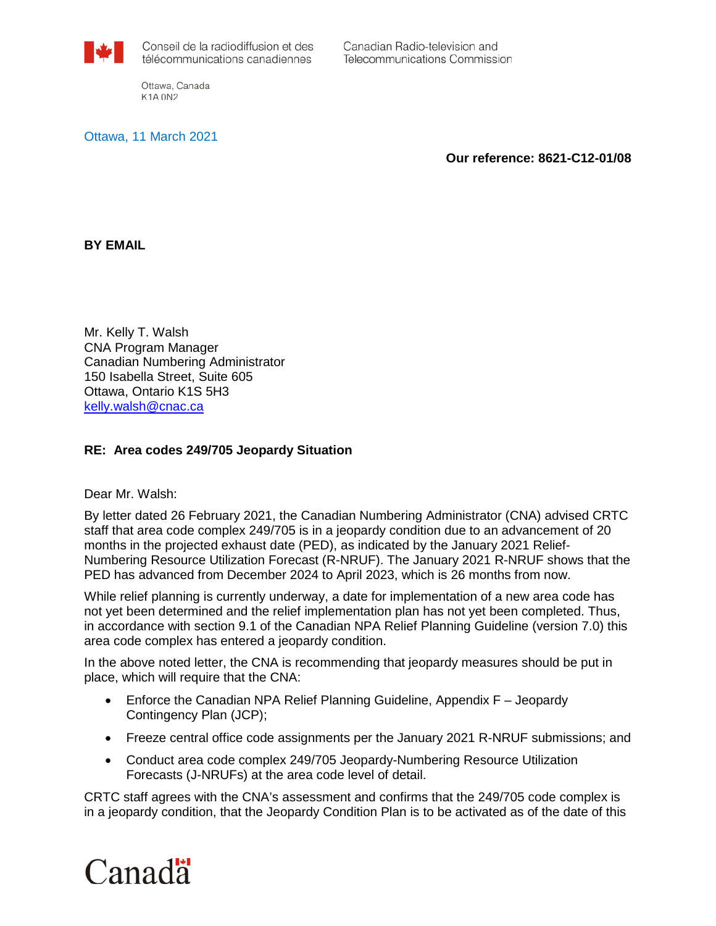

Canadian Radio-television and **Telecommunications Commission** 

Ottawa, Canada **K1A 0N2** 

Ottawa, 11 March 2021

**Our reference: 8621-C12-01/08** 

**BY EMAIL**

Mr. Kelly T. Walsh CNA Program Manager Canadian Numbering Administrator 150 Isabella Street, Suite 605 Ottawa, Ontario K1S 5H3 [kelly.walsh@cnac.ca](mailto:kelly.walsh@cnac.ca)

## **RE: Area codes 249/705 Jeopardy Situation**

Dear Mr. Walsh:

By letter dated 26 February 2021, the Canadian Numbering Administrator (CNA) advised CRTC staff that area code complex 249/705 is in a jeopardy condition due to an advancement of 20 months in the projected exhaust date (PED), as indicated by the January 2021 Relief-Numbering Resource Utilization Forecast (R-NRUF). The January 2021 R-NRUF shows that the PED has advanced from December 2024 to April 2023, which is 26 months from now.

While relief planning is currently underway, a date for implementation of a new area code has not yet been determined and the relief implementation plan has not yet been completed. Thus, in accordance with section 9.1 of the Canadian NPA Relief Planning Guideline (version 7.0) this area code complex has entered a jeopardy condition.

In the above noted letter, the CNA is recommending that jeopardy measures should be put in place, which will require that the CNA:

- Enforce the Canadian NPA Relief Planning Guideline, Appendix F Jeopardy Contingency Plan (JCP);
- Freeze central office code assignments per the January 2021 R-NRUF submissions; and
- Conduct area code complex 249/705 Jeopardy-Numbering Resource Utilization Forecasts (J-NRUFs) at the area code level of detail.

CRTC staff agrees with the CNA's assessment and confirms that the 249/705 code complex is in a jeopardy condition, that the Jeopardy Condition Plan is to be activated as of the date of this